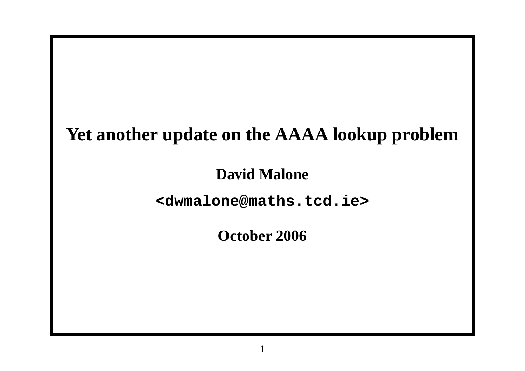## **Yet another update on the AAAA lookup problem**

#### **David Malone**

#### **<dwmalone@maths.tcd.ie>**

### **October 2006**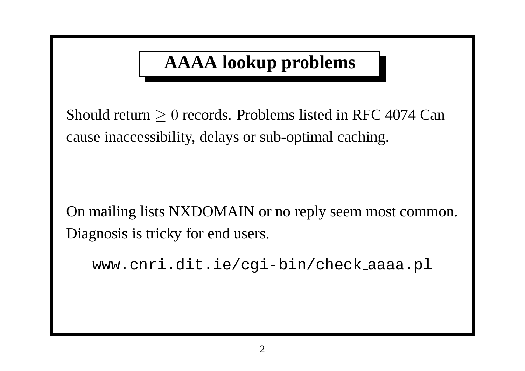# **AAAA lookup problems**

Should return  $\geq 0$  records. Problems listed in RFC 4074 Can cause inaccessibility, delays or sub-optimal caching.

On mailing lists NXDOMAIN or no reply seem most common. Diagnosis is tricky for end users.

```
www.cnri.dit.ie/cgi-bin/check aaaa.pl
```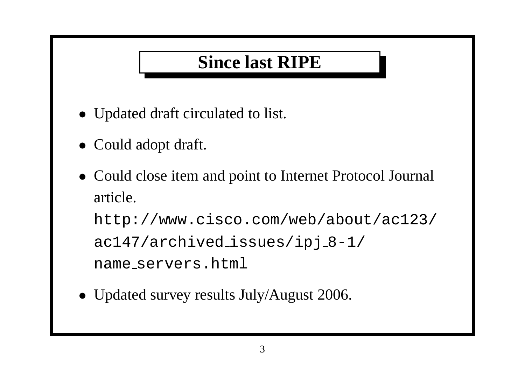## **Since last RIPE**

- Updated draft circulated to list.
- Could adopt draft.
- Could close item and point to Internet Protocol Journal article.

http://www.cisco.com/web/about/ac123/ ac147/archived\_issues/ipj\_8-1/ name servers.html

• Updated survey results July/August 2006.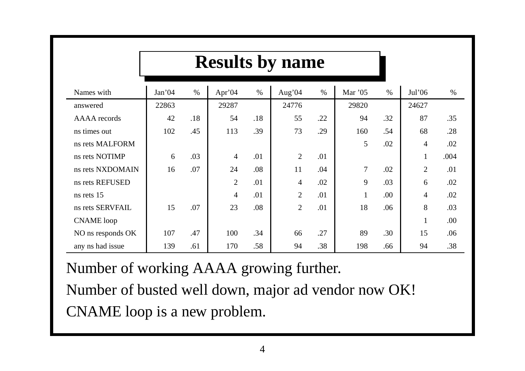|                   | <b>Results by name</b> |      |                |      |                |      |              |      |                          |      |  |
|-------------------|------------------------|------|----------------|------|----------------|------|--------------|------|--------------------------|------|--|
| Names with        | Jan'04                 | $\%$ | Apr'04         | $\%$ | Aug'04         | $\%$ | Mar '05      | $\%$ | Jul'06                   | $\%$ |  |
| answered          | 22863                  |      | 29287          |      | 24776          |      | 29820        |      | 24627                    |      |  |
| AAAA records      | 42                     | .18  | 54             | .18  | 55             | .22  | 94           | .32  | 87                       | .35  |  |
| ns times out      | 102                    | .45  | 113            | .39  | 73             | .29  | 160          | .54  | 68                       | .28  |  |
| ns rets MALFORM   |                        |      |                |      |                |      | 5            | .02  | $\overline{4}$           | .02  |  |
| ns rets NOTIMP    | 6                      | .03  | $\overline{4}$ | .01  | $\overline{2}$ | .01  |              |      | $\mathbf{1}$             | .004 |  |
| ns rets NXDOMAIN  | 16                     | .07  | 24             | .08  | 11             | .04  | 7            | .02  | $\overline{2}$           | .01  |  |
| ns rets REFUSED   |                        |      | $\overline{2}$ | .01  | $\overline{4}$ | .02  | 9            | .03  | 6                        | .02  |  |
| ns rets 15        |                        |      | $\overline{4}$ | .01  | $\overline{2}$ | .01  | $\mathbf{1}$ | .00  | $\overline{\mathcal{A}}$ | .02  |  |
| ns rets SERVFAIL  | 15                     | .07  | 23             | .08  | $\overline{2}$ | .01  | 18           | .06  | 8                        | .03  |  |
| <b>CNAME</b> loop |                        |      |                |      |                |      |              |      | $\mathbf{1}$             | .00  |  |
| NO ns responds OK | 107                    | .47  | 100            | .34  | 66             | .27  | 89           | .30  | 15                       | .06  |  |
| any ns had issue  | 139                    | .61  | 170            | .58  | 94             | .38  | 198          | .66  | 94                       | .38  |  |

Number of working AAAA growing further.

Number of busted well down, major ad vendor now OK! CNAME loop is <sup>a</sup> new problem.